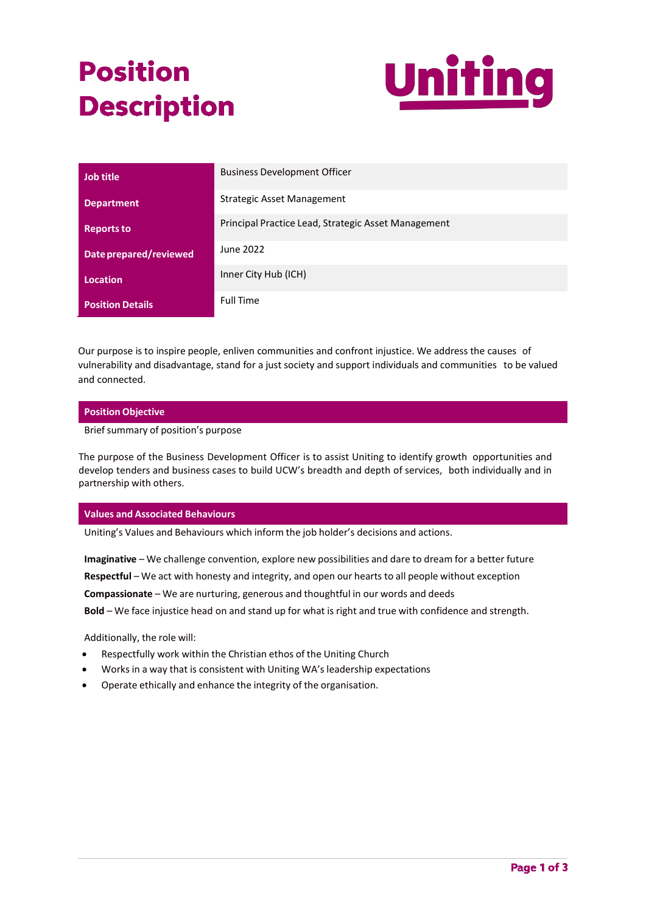# **Position Description**



| <b>Job title</b>        | <b>Business Development Officer</b>                 |
|-------------------------|-----------------------------------------------------|
| <b>Department</b>       | Strategic Asset Management                          |
| <b>Reports to</b>       | Principal Practice Lead, Strategic Asset Management |
| Date prepared/reviewed  | June 2022                                           |
| <b>Location</b>         | Inner City Hub (ICH)                                |
| <b>Position Details</b> | <b>Full Time</b>                                    |

Our purpose is to inspire people, enliven communities and confront injustice. We address the causes of vulnerability and disadvantage, stand for a just society and support individuals and communities to be valued and connected.

## **Position Objective**

Brief summary of position's purpose

The purpose of the Business Development Officer is to assist Uniting to identify growth opportunities and develop tenders and business cases to build UCW's breadth and depth of services, both individually and in partnership with others.

### **Values and Associated Behaviours**

Uniting's Values and Behaviours which inform the job holder's decisions and actions.

**Imaginative** – We challenge convention, explore new possibilities and dare to dream for a better future **Respectful** – We act with honesty and integrity, and open our hearts to all people without exception **Compassionate** – We are nurturing, generous and thoughtful in our words and deeds **Bold** – We face injustice head on and stand up for what is right and true with confidence and strength.

Additionally, the role will:

- Respectfully work within the Christian ethos of the Uniting Church
- Works in a way that is consistent with Uniting WA's leadership expectations
- Operate ethically and enhance the integrity of the organisation.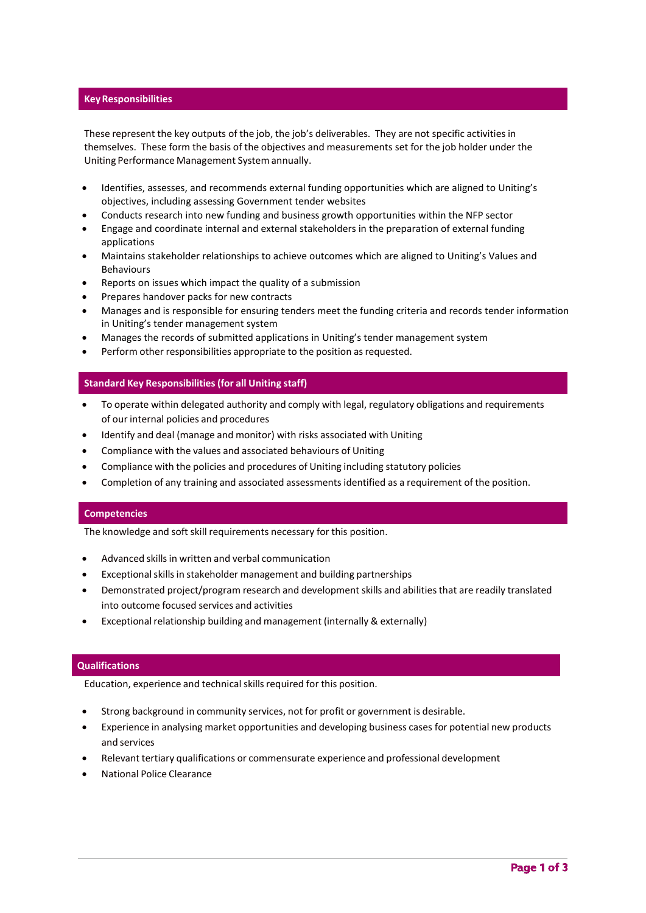#### **KeyResponsibilities**

These represent the key outputs of the job, the job's deliverables. They are not specific activities in themselves. These form the basis of the objectives and measurements set for the job holder under the Uniting Performance Management System annually.

- Identifies, assesses, and recommends external funding opportunities which are aligned to Uniting's objectives, including assessing Government tender websites
- Conducts research into new funding and business growth opportunities within the NFP sector
- Engage and coordinate internal and external stakeholders in the preparation of external funding applications
- Maintains stakeholder relationships to achieve outcomes which are aligned to Uniting's Values and Behaviours
- Reports on issues which impact the quality of a submission
- Prepares handover packs for new contracts
- Manages and is responsible for ensuring tenders meet the funding criteria and records tender information in Uniting's tender management system
- Manages the records of submitted applications in Uniting's tender management system
- Perform other responsibilities appropriate to the position as requested.

### **Standard Key Responsibilities(for all Uniting staff)**

- To operate within delegated authority and comply with legal, regulatory obligations and requirements of our internal policies and procedures
- Identify and deal (manage and monitor) with risks associated with Uniting
- Compliance with the values and associated behaviours of Uniting
- Compliance with the policies and procedures of Uniting including statutory policies
- Completion of any training and associated assessments identified as a requirement of the position.

### **Competencies**

The knowledge and soft skill requirements necessary for this position.

- Advanced skills in written and verbal communication
- Exceptional skills in stakeholder management and building partnerships
- Demonstrated project/program research and development skills and abilitiesthat are readily translated into outcome focused services and activities
- Exceptional relationship building and management (internally & externally)

### **Qualifications**

Education, experience and technical skills required for this position.

- Strong background in community services, not for profit or government is desirable.
- Experience in analysing market opportunities and developing business cases for potential new products and services
- Relevant tertiary qualifications or commensurate experience and professional development
- National Police Clearance